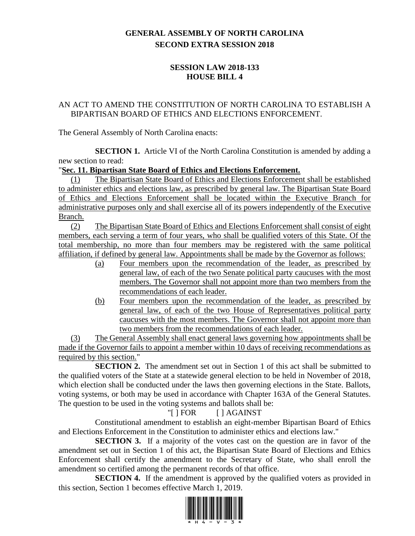# **GENERAL ASSEMBLY OF NORTH CAROLINA SECOND EXTRA SESSION 2018**

### **SESSION LAW 2018-133 HOUSE BILL 4**

### AN ACT TO AMEND THE CONSTITUTION OF NORTH CAROLINA TO ESTABLISH A BIPARTISAN BOARD OF ETHICS AND ELECTIONS ENFORCEMENT.

The General Assembly of North Carolina enacts:

**SECTION 1.** Article VI of the North Carolina Constitution is amended by adding a new section to read:

#### "**Sec. 11. Bipartisan State Board of Ethics and Elections Enforcement.**

(1) The Bipartisan State Board of Ethics and Elections Enforcement shall be established to administer ethics and elections law, as prescribed by general law. The Bipartisan State Board of Ethics and Elections Enforcement shall be located within the Executive Branch for administrative purposes only and shall exercise all of its powers independently of the Executive Branch.

(2) The Bipartisan State Board of Ethics and Elections Enforcement shall consist of eight members, each serving a term of four years, who shall be qualified voters of this State. Of the total membership, no more than four members may be registered with the same political affiliation, if defined by general law. Appointments shall be made by the Governor as follows:

- (a) Four members upon the recommendation of the leader, as prescribed by general law, of each of the two Senate political party caucuses with the most members. The Governor shall not appoint more than two members from the recommendations of each leader.
- (b) Four members upon the recommendation of the leader, as prescribed by general law, of each of the two House of Representatives political party caucuses with the most members. The Governor shall not appoint more than two members from the recommendations of each leader.

(3) The General Assembly shall enact general laws governing how appointments shall be made if the Governor fails to appoint a member within 10 days of receiving recommendations as required by this section."

**SECTION 2.** The amendment set out in Section 1 of this act shall be submitted to the qualified voters of the State at a statewide general election to be held in November of 2018, which election shall be conducted under the laws then governing elections in the State. Ballots, voting systems, or both may be used in accordance with Chapter 163A of the General Statutes. The question to be used in the voting systems and ballots shall be:

# "[ ] FOR [ ] AGAINST

Constitutional amendment to establish an eight-member Bipartisan Board of Ethics and Elections Enforcement in the Constitution to administer ethics and elections law."

**SECTION 3.** If a majority of the votes cast on the question are in favor of the amendment set out in Section 1 of this act, the Bipartisan State Board of Elections and Ethics Enforcement shall certify the amendment to the Secretary of State, who shall enroll the amendment so certified among the permanent records of that office.

**SECTION 4.** If the amendment is approved by the qualified voters as provided in this section, Section 1 becomes effective March 1, 2019.